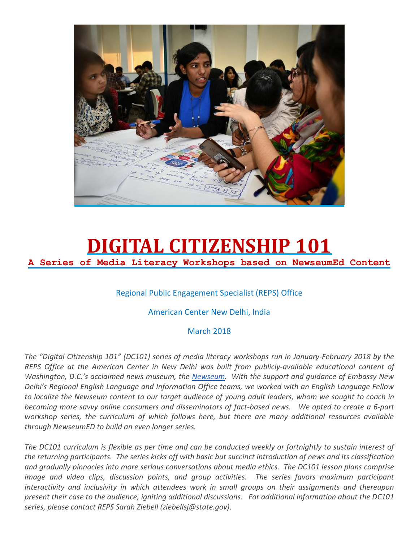

#### **DIGITAL CITIZENSHIP 101 A Series of Media Literacy Workshops based on NewseumEd Content**

#### Regional Public Engagement Specialist (REPS) Office

#### American Center New Delhi, India

#### March 2018

*The "Digital Citizenship 101" (DC101) series of media literacy workshops run in January-February 2018 by the REPS Office at the American Center in New Delhi was built from publicly-available educational content of Washington, D.C.'s acclaimed news museum, the [Newseum.](https://newseumed.org/) With the support and guidance of Embassy New Delhi's Regional English Language and Information Office teams, we worked with an English Language Fellow to localize the Newseum content to our target audience of young adult leaders, whom we sought to coach in becoming more savvy online consumers and disseminators of fact-based news. We opted to create a 6-part workshop series, the curriculum of which follows here, but there are many additional resources available through NewseumED to build an even longer series.* 

*The DC101 curriculum is flexible as per time and can be conducted weekly or fortnightly to sustain interest of the returning participants. The series kicks off with basic but succinct introduction of news and its classification and gradually pinnacles into more serious conversations about media ethics. The DC101 lesson plans comprise image and video clips, discussion points, and group activities. The series favors maximum participant interactivity and inclusivity in which attendees work in small groups on their assignments and thereupon present their case to the audience, igniting additional discussions. For additional information about the DC101 series, please contact REPS Sarah Ziebell (ziebellsj@state.gov).*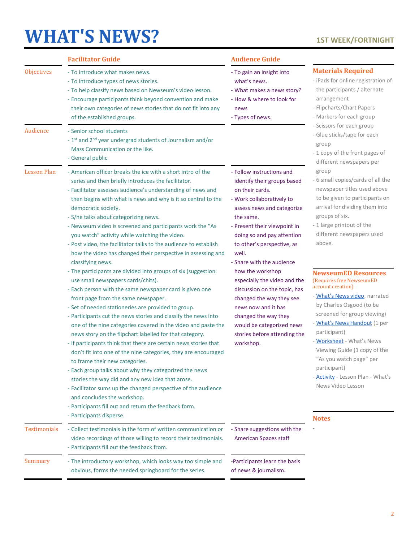### **[WHAT'S NEWS?](https://newseumed.org/activity/whats-news-video-lesson/) 1ST WEEK/FORTNIGHT**

|                     | <b>Facilitator Guide</b>                                                                                                                                                                                                                                                                                                                                                                                                                                                                                                                                                                                                                                                                                                                                                                                                                                                                                                                                                                                                                                                                                                                                                                                                                                                                                                                       | <b>Audience Guide</b>                                                                                                                                                                                                                                                                                                                                                                                                                                                                                                          |                                                                                                                                                                                                                                                                                                                                                                                                                                                                                                                                                                                                                    |
|---------------------|------------------------------------------------------------------------------------------------------------------------------------------------------------------------------------------------------------------------------------------------------------------------------------------------------------------------------------------------------------------------------------------------------------------------------------------------------------------------------------------------------------------------------------------------------------------------------------------------------------------------------------------------------------------------------------------------------------------------------------------------------------------------------------------------------------------------------------------------------------------------------------------------------------------------------------------------------------------------------------------------------------------------------------------------------------------------------------------------------------------------------------------------------------------------------------------------------------------------------------------------------------------------------------------------------------------------------------------------|--------------------------------------------------------------------------------------------------------------------------------------------------------------------------------------------------------------------------------------------------------------------------------------------------------------------------------------------------------------------------------------------------------------------------------------------------------------------------------------------------------------------------------|--------------------------------------------------------------------------------------------------------------------------------------------------------------------------------------------------------------------------------------------------------------------------------------------------------------------------------------------------------------------------------------------------------------------------------------------------------------------------------------------------------------------------------------------------------------------------------------------------------------------|
| Objectives          | - To introduce what makes news.<br>- To introduce types of news stories.<br>- To help classify news based on Newseum's video lesson.<br>- Encourage participants think beyond convention and make<br>their own categories of news stories that do not fit into any<br>of the established groups.                                                                                                                                                                                                                                                                                                                                                                                                                                                                                                                                                                                                                                                                                                                                                                                                                                                                                                                                                                                                                                               | - To gain an insight into<br>what's news.<br>- What makes a news story?<br>- How & where to look for<br>news<br>- Types of news.                                                                                                                                                                                                                                                                                                                                                                                               | <b>Materials Required</b><br>- iPads for online registration of<br>the participants / alternate<br>arrangement<br>- Flipcharts/Chart Papers<br>- Markers for each group                                                                                                                                                                                                                                                                                                                                                                                                                                            |
| Audience            | - Senior school students<br>- 1 <sup>st</sup> and 2 <sup>nd</sup> year undergrad students of Journalism and/or<br>Mass Communication or the like.<br>- General public                                                                                                                                                                                                                                                                                                                                                                                                                                                                                                                                                                                                                                                                                                                                                                                                                                                                                                                                                                                                                                                                                                                                                                          |                                                                                                                                                                                                                                                                                                                                                                                                                                                                                                                                | - Scissors for each group<br>- Glue sticks/tape for each<br>group<br>- 1 copy of the front pages of<br>different newspapers per                                                                                                                                                                                                                                                                                                                                                                                                                                                                                    |
| <b>Lesson Plan</b>  | - American officer breaks the ice with a short intro of the<br>series and then briefly introduces the facilitator.<br>- Facilitator assesses audience's understanding of news and<br>then begins with what is news and why is it so central to the<br>democratic society.<br>- S/he talks about categorizing news.<br>- Newseum video is screened and participants work the "As<br>you watch" activity while watching the video.<br>- Post video, the facilitator talks to the audience to establish<br>how the video has changed their perspective in assessing and<br>classifying news.<br>- The participants are divided into groups of six (suggestion:<br>use small newspapers cards/chits).<br>- Each person with the same newspaper card is given one<br>front page from the same newspaper.<br>- Set of needed stationeries are provided to group.<br>- Participants cut the news stories and classify the news into<br>one of the nine categories covered in the video and paste the<br>news story on the flipchart labelled for that category.<br>- If participants think that there are certain news stories that<br>don't fit into one of the nine categories, they are encouraged<br>to frame their new categories.<br>- Each group talks about why they categorized the news<br>stories the way did and any new idea that arose. | - Follow instructions and<br>identify their groups based<br>on their cards.<br>- Work collaboratively to<br>assess news and categorize<br>the same.<br>- Present their viewpoint in<br>doing so and pay attention<br>to other's perspective, as<br>well.<br>- Share with the audience<br>how the workshop<br>especially the video and the<br>discussion on the topic, has<br>changed the way they see<br>news now and it has<br>changed the way they<br>would be categorized news<br>stories before attending the<br>workshop. | group<br>- 6 small copies/cards of all the<br>newspaper titles used above<br>to be given to participants on<br>arrival for dividing them into<br>groups of six.<br>- 1 large printout of the<br>different newspapers used<br>above.<br><b>NewseumED Resources</b><br>(Requires free NewseumED<br>account creation)<br>- What's News video, narrated<br>by Charles Osgood (to be<br>screened for group viewing)<br>- What's News Handout (1 per<br>participant)<br>- Worksheet - What's News<br>Viewing Guide (1 copy of the<br>"As you watch page" per<br>participant)<br>- <b>Activity</b> - Lesson Plan - What's |
|                     | - Facilitator sums up the changed perspective of the audience<br>and concludes the workshop.<br>- Participants fill out and return the feedback form.<br>- Participants disperse.                                                                                                                                                                                                                                                                                                                                                                                                                                                                                                                                                                                                                                                                                                                                                                                                                                                                                                                                                                                                                                                                                                                                                              |                                                                                                                                                                                                                                                                                                                                                                                                                                                                                                                                | News Video Lesson<br><b>Notes</b>                                                                                                                                                                                                                                                                                                                                                                                                                                                                                                                                                                                  |
| <b>Testimonials</b> | - Collect testimonials in the form of written communication or<br>video recordings of those willing to record their testimonials.<br>- Participants fill out the feedback from.                                                                                                                                                                                                                                                                                                                                                                                                                                                                                                                                                                                                                                                                                                                                                                                                                                                                                                                                                                                                                                                                                                                                                                | - Share suggestions with the<br><b>American Spaces staff</b>                                                                                                                                                                                                                                                                                                                                                                                                                                                                   |                                                                                                                                                                                                                                                                                                                                                                                                                                                                                                                                                                                                                    |
| Summary             | - The introductory workshop, which looks way too simple and<br>obvious, forms the needed springboard for the series.                                                                                                                                                                                                                                                                                                                                                                                                                                                                                                                                                                                                                                                                                                                                                                                                                                                                                                                                                                                                                                                                                                                                                                                                                           | -Participants learn the basis<br>of news & journalism.                                                                                                                                                                                                                                                                                                                                                                                                                                                                         |                                                                                                                                                                                                                                                                                                                                                                                                                                                                                                                                                                                                                    |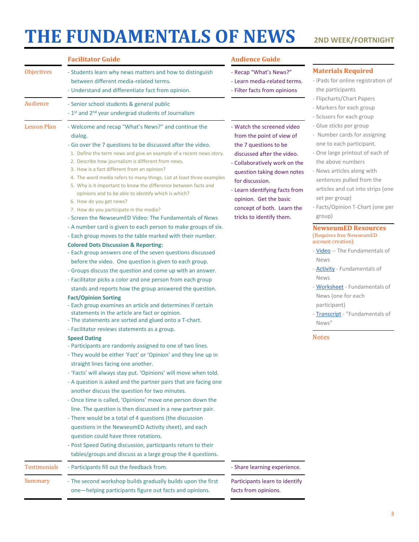### **[THE FUNDAMENTALS OF NEWS](https://newseumed.org/activity/fundamentals-of-news-mlbp/) 2ND WEEK/FORTNIGHT**

|                     | <b>Facilitator Guide</b>                                                                                                                                                                                                                                                                                                                                                                                                                                                                                                                                                                                                                                                                                                                                                                                                                                                                                        | <b>Audience Guide</b>                                                                                                                                                                                                                                                                                                  |                                                                                                                                                                                                                                                                                                                                                                                                                                                                                                                                                                                                      |
|---------------------|-----------------------------------------------------------------------------------------------------------------------------------------------------------------------------------------------------------------------------------------------------------------------------------------------------------------------------------------------------------------------------------------------------------------------------------------------------------------------------------------------------------------------------------------------------------------------------------------------------------------------------------------------------------------------------------------------------------------------------------------------------------------------------------------------------------------------------------------------------------------------------------------------------------------|------------------------------------------------------------------------------------------------------------------------------------------------------------------------------------------------------------------------------------------------------------------------------------------------------------------------|------------------------------------------------------------------------------------------------------------------------------------------------------------------------------------------------------------------------------------------------------------------------------------------------------------------------------------------------------------------------------------------------------------------------------------------------------------------------------------------------------------------------------------------------------------------------------------------------------|
| Objectives          | - Students learn why news matters and how to distinguish<br>between different media-related terms.<br>- Understand and differentiate fact from opinion.                                                                                                                                                                                                                                                                                                                                                                                                                                                                                                                                                                                                                                                                                                                                                         | - Recap "What's News?"<br>- Learn media-related terms.<br>- Filter facts from opinions                                                                                                                                                                                                                                 | <b>Materials Required</b><br>- iPads for online registration of<br>the participants                                                                                                                                                                                                                                                                                                                                                                                                                                                                                                                  |
| Audience            | - Senior school students & general public<br>- 1st and 2nd year undergrad students of Journalism                                                                                                                                                                                                                                                                                                                                                                                                                                                                                                                                                                                                                                                                                                                                                                                                                |                                                                                                                                                                                                                                                                                                                        | - Flipcharts/Chart Papers<br>- Markers for each group<br>- Scissors for each group                                                                                                                                                                                                                                                                                                                                                                                                                                                                                                                   |
| <b>Lesson Plan</b>  | - Welcome and recap "What's News?" and continue the<br>dialog.<br>- Go over the 7 questions to be discussed after the video.<br>1. Define the term news and give an example of a recent news story.<br>2. Describe how journalism is different from news.<br>3. How is a fact different from an opinion?<br>4. The word media refers to many things. List at least three examples<br>5. Why is it important to know the difference between facts and<br>opinions and to be able to identify which is which?<br>6. How do you get news?<br>7. How do you participate in the media?<br>- Screen the NewseumED Video: The Fundamentals of News                                                                                                                                                                                                                                                                     | - Watch the screened video<br>from the point of view of<br>the 7 questions to be<br>discussed after the video.<br>- Collaboratively work on the<br>question taking down notes<br>for discussion.<br>- Learn identifying facts from<br>opinion. Get the basic<br>concept of both. Learn the<br>tricks to identify them. | - Glue sticks per group<br>- Number cards for assigning<br>one to each participant.<br>- One large printout of each of<br>the above numbers<br>- News articles along with<br>sentences pulled from the<br>articles and cut into strips (one<br>set per group)<br>- Facts/Opinion T-Chart (one per<br>group)<br><b>NewseumED Resources</b><br>(Requires free NewseumED<br>account creation)<br>- Video -- The Fundamentals of<br><b>News</b><br>- Activity - Fundamentals of<br><b>News</b><br>- Worksheet - Fundamentals of<br>News (one for each<br>participant)<br>- Transcript - "Fundamentals of |
|                     | - A number card is given to each person to make groups of six.<br>- Each group moves to the table marked with their number.<br><b>Colored Dots Discussion &amp; Reporting:</b><br>- Each group answers one of the seven questions discussed<br>before the video. One question is given to each group.<br>- Groups discuss the question and come up with an answer.<br>- Facilitator picks a color and one person from each group<br>stands and reports how the group answered the question.<br><b>Fact/Opinion Sorting</b><br>- Each group examines an article and determines if certain<br>statements in the article are fact or opinion.                                                                                                                                                                                                                                                                      |                                                                                                                                                                                                                                                                                                                        |                                                                                                                                                                                                                                                                                                                                                                                                                                                                                                                                                                                                      |
|                     | - The statements are sorted and glued onto a T-chart.<br>- Facilitator reviews statements as a group.<br><b>Speed Dating</b><br>- Participants are randomly assigned to one of two lines.<br>- They would be either 'Fact' or 'Opinion' and they line up in<br>straight lines facing one another.<br>- 'Facts' will always stay put. 'Opinions' will move when told.<br>- A question is asked and the partner pairs that are facing one<br>another discuss the question for two minutes.<br>- Once time is called, 'Opinions' move one person down the<br>line. The question is then discussed in a new partner pair.<br>- There would be a total of 4 questions (the discussion<br>questions in the NewseumED Activity sheet), and each<br>question could have three rotations.<br>- Post Speed Dating discussion, participants return to their<br>tables/groups and discuss as a large group the 4 questions. |                                                                                                                                                                                                                                                                                                                        | News"<br><b>Notes</b>                                                                                                                                                                                                                                                                                                                                                                                                                                                                                                                                                                                |
| <b>Testimonials</b> | - Participants fill out the feedback from.                                                                                                                                                                                                                                                                                                                                                                                                                                                                                                                                                                                                                                                                                                                                                                                                                                                                      | - Share learning experience.                                                                                                                                                                                                                                                                                           |                                                                                                                                                                                                                                                                                                                                                                                                                                                                                                                                                                                                      |
| Summary             | - The second workshop builds gradually builds upon the first<br>one-helping participants figure out facts and opinions.                                                                                                                                                                                                                                                                                                                                                                                                                                                                                                                                                                                                                                                                                                                                                                                         | Participants learn to identify<br>facts from opinions.                                                                                                                                                                                                                                                                 |                                                                                                                                                                                                                                                                                                                                                                                                                                                                                                                                                                                                      |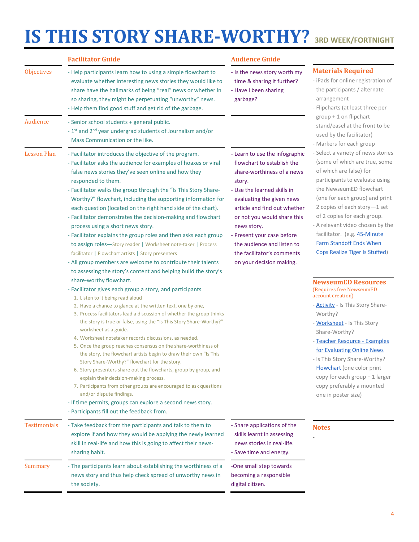# **[IS THIS STORY SHARE](https://newseumed.org/activity/is-this-story-share-worthy-flowchart-mlbp/)-WORTHY? 3RD WEEK/FORTNIGHT**

|                     | <b>Facilitator Guide</b>                                                                                                                                                                                                                                                                                                                                                                                                                                                                                                                                                                                                                                                                                                                                                                                                                                                                                                                                                                                                                                                                                                                                                                                                                                                                                                                                                                                                                                                                                                                                                                                                                                                                                                                     | <b>Audience Guide</b>                                                                                                                                                                                                                                                                                                                                                |                                                                                                                                                                                                                                                                                                                                                                                                                                                                                                                                                                                                                                                                                                                                                                                                                                                           |
|---------------------|----------------------------------------------------------------------------------------------------------------------------------------------------------------------------------------------------------------------------------------------------------------------------------------------------------------------------------------------------------------------------------------------------------------------------------------------------------------------------------------------------------------------------------------------------------------------------------------------------------------------------------------------------------------------------------------------------------------------------------------------------------------------------------------------------------------------------------------------------------------------------------------------------------------------------------------------------------------------------------------------------------------------------------------------------------------------------------------------------------------------------------------------------------------------------------------------------------------------------------------------------------------------------------------------------------------------------------------------------------------------------------------------------------------------------------------------------------------------------------------------------------------------------------------------------------------------------------------------------------------------------------------------------------------------------------------------------------------------------------------------|----------------------------------------------------------------------------------------------------------------------------------------------------------------------------------------------------------------------------------------------------------------------------------------------------------------------------------------------------------------------|-----------------------------------------------------------------------------------------------------------------------------------------------------------------------------------------------------------------------------------------------------------------------------------------------------------------------------------------------------------------------------------------------------------------------------------------------------------------------------------------------------------------------------------------------------------------------------------------------------------------------------------------------------------------------------------------------------------------------------------------------------------------------------------------------------------------------------------------------------------|
| Objectives          | - Help participants learn how to using a simple flowchart to<br>evaluate whether interesting news stories they would like to<br>share have the hallmarks of being "real" news or whether in<br>so sharing, they might be perpetuating "unworthy" news.<br>- Help them find good stuff and get rid of the garbage.                                                                                                                                                                                                                                                                                                                                                                                                                                                                                                                                                                                                                                                                                                                                                                                                                                                                                                                                                                                                                                                                                                                                                                                                                                                                                                                                                                                                                            | - Is the news story worth my<br>time & sharing it further?<br>- Have I been sharing<br>garbage?                                                                                                                                                                                                                                                                      | <b>Materials Required</b><br>- iPads for online registration of<br>the participants / alternate<br>arrangement<br>- Flipcharts (at least three per                                                                                                                                                                                                                                                                                                                                                                                                                                                                                                                                                                                                                                                                                                        |
| Audience            | - Senior school students + general public.<br>- 1st and 2 <sup>nd</sup> year undergrad students of Journalism and/or<br>Mass Communication or the like.                                                                                                                                                                                                                                                                                                                                                                                                                                                                                                                                                                                                                                                                                                                                                                                                                                                                                                                                                                                                                                                                                                                                                                                                                                                                                                                                                                                                                                                                                                                                                                                      |                                                                                                                                                                                                                                                                                                                                                                      | group + 1 on flipchart<br>stand/easel at the front to be<br>used by the facilitator)                                                                                                                                                                                                                                                                                                                                                                                                                                                                                                                                                                                                                                                                                                                                                                      |
| <b>Lesson Plan</b>  | - Facilitator introduces the objective of the program.<br>- Facilitator asks the audience for examples of hoaxes or viral<br>false news stories they've seen online and how they<br>responded to them.<br>- Facilitator walks the group through the "Is This Story Share-<br>Worthy?" flowchart, including the supporting information for<br>each question (located on the right hand side of the chart).<br>- Facilitator demonstrates the decision-making and flowchart<br>process using a short news story.<br>- Facilitator explains the group roles and then asks each group<br>to assign roles-Story reader   Worksheet note-taker   Process<br>facilitator   Flowchart artists   Story presenters<br>- All group members are welcome to contribute their talents<br>to assessing the story's content and helping build the story's<br>share-worthy flowchart.<br>- Facilitator gives each group a story, and participants<br>1. Listen to it being read aloud<br>2. Have a chance to glance at the written text, one by one,<br>3. Process facilitators lead a discussion of whether the group thinks<br>the story is true or false, using the "Is This Story Share-Worthy?"<br>worksheet as a guide.<br>4. Worksheet notetaker records discussions, as needed.<br>5. Once the group reaches consensus on the share-worthiness of<br>the story, the flowchart artists begin to draw their own "Is This<br>Story Share-Worthy?" flowchart for the story.<br>6. Story presenters share out the flowcharts, group by group, and<br>explain their decision-making process.<br>7. Participants from other groups are encouraged to ask questions<br>and/or dispute findings.<br>- If time permits, groups can explore a second news story. | - Learn to use the infographic<br>flowchart to establish the<br>share-worthiness of a news<br>story.<br>- Use the learned skills in<br>evaluating the given news<br>article and find out whether<br>or not you would share this<br>news story.<br>- Present your case before<br>the audience and listen to<br>the facilitator's comments<br>on your decision making. | - Markers for each group<br>- Select a variety of news stories<br>(some of which are true, some<br>of which are false) for<br>participants to evaluate using<br>the NewseumED flowchart<br>(one for each group) and print<br>2 copies of each story-1 set<br>of 2 copies for each group.<br>- A relevant video chosen by the<br>facilitator. (e.g. 45-Minute<br><b>Farm Standoff Ends When</b><br><b>Cops Realize Tiger Is Stuffed)</b><br><b>NewseumED Resources</b><br>(Requires free NewseumED)<br>account creation)<br>- <b>Activity</b> - Is This Story Share-<br>Worthy?<br>- Worksheet - Is This Story<br>Share-Worthy?<br>- Teacher Resource - Examples<br>for Evaluating Online News<br>- Is This Story Share-Worthy?<br><b>Flowchart</b> (one color print<br>copy for each group + 1 larger<br>copy preferably a mounted<br>one in poster size) |
|                     | - Participants fill out the feedback from.                                                                                                                                                                                                                                                                                                                                                                                                                                                                                                                                                                                                                                                                                                                                                                                                                                                                                                                                                                                                                                                                                                                                                                                                                                                                                                                                                                                                                                                                                                                                                                                                                                                                                                   |                                                                                                                                                                                                                                                                                                                                                                      |                                                                                                                                                                                                                                                                                                                                                                                                                                                                                                                                                                                                                                                                                                                                                                                                                                                           |
| <b>Testimonials</b> | - Take feedback from the participants and talk to them to<br>explore if and how they would be applying the newly learned<br>skill in real-life and how this is going to affect their news-<br>sharing habit.                                                                                                                                                                                                                                                                                                                                                                                                                                                                                                                                                                                                                                                                                                                                                                                                                                                                                                                                                                                                                                                                                                                                                                                                                                                                                                                                                                                                                                                                                                                                 | - Share applications of the<br>skills learnt in assessing<br>news stories in real-life.<br>- Save time and energy.                                                                                                                                                                                                                                                   | <b>Notes</b>                                                                                                                                                                                                                                                                                                                                                                                                                                                                                                                                                                                                                                                                                                                                                                                                                                              |
| Summary             | - The participants learn about establishing the worthiness of a<br>news story and thus help check spread of unworthy news in<br>the society.                                                                                                                                                                                                                                                                                                                                                                                                                                                                                                                                                                                                                                                                                                                                                                                                                                                                                                                                                                                                                                                                                                                                                                                                                                                                                                                                                                                                                                                                                                                                                                                                 | -One small step towards<br>becoming a responsible<br>digital citizen.                                                                                                                                                                                                                                                                                                |                                                                                                                                                                                                                                                                                                                                                                                                                                                                                                                                                                                                                                                                                                                                                                                                                                                           |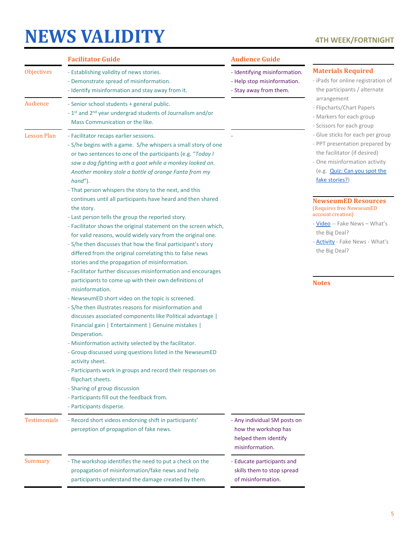## **[NEWS VALIDITY](https://newseumed.org/activity/fake-news-whats-the-big-deal-mlbp/) 4TH WEEK/FORTNIGHT**

|                     | <b>Facilitator Guide</b>                                                                                                                                                                                                                                                                                                                                                                                                                                                                                                                                                                                                                                                                                                                                                                                                                                                               | <b>Audience Guide</b>                                                                           |                                                                                                                                                                                                                                                                             |
|---------------------|----------------------------------------------------------------------------------------------------------------------------------------------------------------------------------------------------------------------------------------------------------------------------------------------------------------------------------------------------------------------------------------------------------------------------------------------------------------------------------------------------------------------------------------------------------------------------------------------------------------------------------------------------------------------------------------------------------------------------------------------------------------------------------------------------------------------------------------------------------------------------------------|-------------------------------------------------------------------------------------------------|-----------------------------------------------------------------------------------------------------------------------------------------------------------------------------------------------------------------------------------------------------------------------------|
| <b>Objectives</b>   | - Establishing validity of news stories.<br>- Demonstrate spread of misinformation.<br>- Identify misinformation and stay away from it.                                                                                                                                                                                                                                                                                                                                                                                                                                                                                                                                                                                                                                                                                                                                                | - Identifying misinformation.<br>- Help stop misinformation.<br>- Stay away from them.          | <b>Materials Required</b><br>- iPads for online registration of<br>the participants / alternate                                                                                                                                                                             |
| Audience            | - Senior school students + general public.<br>- 1st and 2 <sup>nd</sup> year undergrad students of Journalism and/or<br>Mass Communication or the like.                                                                                                                                                                                                                                                                                                                                                                                                                                                                                                                                                                                                                                                                                                                                |                                                                                                 | arrangement<br>- Flipcharts/Chart Papers<br>- Markers for each group<br>- Scissors for each group                                                                                                                                                                           |
| <b>Lesson Plan</b>  | - Facilitator recaps earlier sessions.<br>- S/he begins with a game. S/he whispers a small story of one<br>or two sentences to one of the participants (e.g. "Today I<br>saw a dog fighting with a goat while a monkey looked on.<br>Another monkey stole a bottle of orange Fanta from my<br>$hand$ ").<br>- That person whispers the story to the next, and this<br>continues until all participants have heard and then shared<br>the story.<br>- Last person tells the group the reported story.<br>- Facilitator shows the original statement on the screen which,<br>for valid reasons, would widely vary from the original one.<br>- S/he then discusses that how the final participant's story<br>differed from the original correlating this to false news<br>stories and the propagation of misinformation.<br>- Facilitator further discusses misinformation and encourages |                                                                                                 | - Glue sticks for each per group<br>- PPT presentation prepared by<br>the facilitator (if desired)<br>- One misinformation activity<br>(e.g. <b>Quiz: Can you spot the</b><br>fake stories?)<br><b>NewseumED Resources</b><br>(Requires free NewseumED<br>account creation) |
|                     |                                                                                                                                                                                                                                                                                                                                                                                                                                                                                                                                                                                                                                                                                                                                                                                                                                                                                        |                                                                                                 | - Video -- Fake News - What's<br>the Big Deal?<br>- <b>Activity</b> - Fake News - What's<br>the Big Deal?                                                                                                                                                                   |
|                     | participants to come up with their own definitions of<br>misinformation.                                                                                                                                                                                                                                                                                                                                                                                                                                                                                                                                                                                                                                                                                                                                                                                                               |                                                                                                 | <b>Notes</b>                                                                                                                                                                                                                                                                |
|                     | - NewseumED short video on the topic is screened.<br>- S/he then illustrates reasons for misinformation and<br>discusses associated components like Political advantage  <br>Financial gain   Entertainment   Genuine mistakes  <br>Desperation.<br>- Misinformation activity selected by the facilitator.<br>- Group discussed using questions listed in the NewseumED<br>activity sheet.<br>- Participants work in groups and record their responses on<br>flipchart sheets.<br>- Sharing of group discussion<br>- Participants fill out the feedback from.<br>- Participants disperse.                                                                                                                                                                                                                                                                                              |                                                                                                 |                                                                                                                                                                                                                                                                             |
| <b>Testimonials</b> | - Record short videos endorsing shift in participants'<br>perception of propagation of fake news.                                                                                                                                                                                                                                                                                                                                                                                                                                                                                                                                                                                                                                                                                                                                                                                      | - Any individual SM posts on<br>how the workshop has<br>helped them identify<br>misinformation. |                                                                                                                                                                                                                                                                             |
| Summary             | - The workshop identifies the need to put a check on the<br>propagation of misinformation/fake news and help<br>participants understand the damage created by them.                                                                                                                                                                                                                                                                                                                                                                                                                                                                                                                                                                                                                                                                                                                    | - Educate participants and<br>skills them to stop spread<br>of misinformation.                  |                                                                                                                                                                                                                                                                             |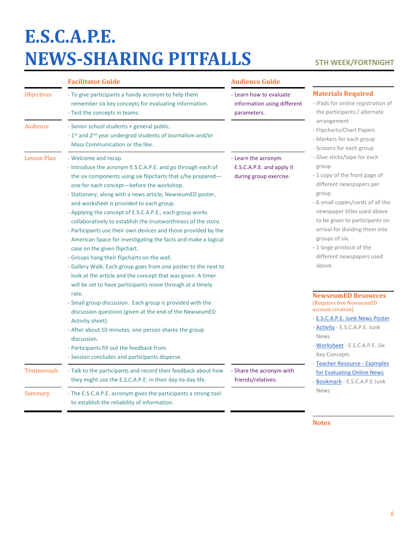# **[E.S.C.A.P.E.](https://newseumed.org/activity/e-s-c-a-p-e-junk-news-mlbp/)  NEWS-[SHARING PITFALLS](https://newseumed.org/activity/e-s-c-a-p-e-junk-news-mlbp/) 5TH WEEK/FORTNIGHT**

|                     | <b>Facilitator Guide</b>                                                                                                                                                                                                                                                                                                                                                                                                                                                                                                                                                                                                                                                                                                                                                                                                                                | <b>Audience Guide</b>                                                      |                                                                                                                                                                                                                                                                                                                                          |
|---------------------|---------------------------------------------------------------------------------------------------------------------------------------------------------------------------------------------------------------------------------------------------------------------------------------------------------------------------------------------------------------------------------------------------------------------------------------------------------------------------------------------------------------------------------------------------------------------------------------------------------------------------------------------------------------------------------------------------------------------------------------------------------------------------------------------------------------------------------------------------------|----------------------------------------------------------------------------|------------------------------------------------------------------------------------------------------------------------------------------------------------------------------------------------------------------------------------------------------------------------------------------------------------------------------------------|
| <b>Objectives</b>   | - To give participants a handy acronym to help them<br>remember six key concepts for evaluating information.<br>- Test the concepts in teams.                                                                                                                                                                                                                                                                                                                                                                                                                                                                                                                                                                                                                                                                                                           | - Learn how to evaluate<br>information using different<br>parameters.      | <b>Materials Required</b><br>- iPads for online registration of<br>the participants / alternate                                                                                                                                                                                                                                          |
| Audience            | - Senior school students + general public.<br>- 1st and 2 <sup>nd</sup> year undergrad students of Journalism and/or<br>Mass Communication or the like.                                                                                                                                                                                                                                                                                                                                                                                                                                                                                                                                                                                                                                                                                                 |                                                                            | arrangement<br>- Flipcharts/Chart Papers<br>- Markers for each group<br>- Scissors for each group                                                                                                                                                                                                                                        |
| <b>Lesson Plan</b>  | - Welcome and recap.<br>- Introduce the acronym E.S.C.A.P.E. and go through each of<br>the six components using six flipcharts that s/he prepared-<br>one for each concept-before the workshop.<br>- Stationery, along with a news article, NewseumED poster,<br>and worksheet is provided to each group.<br>- Applying the concept of E.S.C.A.P.E., each group works<br>collaboratively to establish the trustworthiness of the story.<br>- Participants use their own devices and those provided by the<br>American Space for investigating the facts and make a logical<br>case on the given flipchart.<br>- Groups hang their flipcharts on the wall.<br>- Gallery Walk: Each group goes from one poster to the next to<br>look at the article and the concept that was given. A timer<br>will be set to have participants move through at a timely | - Learn the acronym<br>E.S.C.A.P.E. and apply it<br>during group exercise. | - Glue sticks/tape for each<br>group<br>- 1 copy of the front page of<br>different newspapers per<br>group<br>- 6 small copies/cards of all the<br>newspaper titles used above<br>to be given to participants on<br>arrival for dividing them into<br>groups of six.<br>- 1 large printout of the<br>different newspapers used<br>above. |
|                     | rate.<br>- Small group discussion. Each group is provided with the<br>discussion questions (given at the end of the NewseumED                                                                                                                                                                                                                                                                                                                                                                                                                                                                                                                                                                                                                                                                                                                           |                                                                            | <b>NewseumED Resources</b><br>(Requires free NewseumED<br>account creation)<br>- E.S.C.A.P.E. Junk News Poster                                                                                                                                                                                                                           |
|                     | Activity sheet).<br>- After about 10 minutes, one person shares the group<br>discussion.                                                                                                                                                                                                                                                                                                                                                                                                                                                                                                                                                                                                                                                                                                                                                                |                                                                            | - Activity - E.S.C.A.P.E. Junk<br><b>News</b>                                                                                                                                                                                                                                                                                            |
|                     | - Participants fill out the feedback from.<br>- Session concludes and participants disperse.                                                                                                                                                                                                                                                                                                                                                                                                                                                                                                                                                                                                                                                                                                                                                            |                                                                            | - Worksheet - E.S.C.A.P.E. Six<br><b>Key Concepts</b><br>Teacher Resource - Examples                                                                                                                                                                                                                                                     |
| <b>Testimonials</b> | - Talk to the participants and record their feedback about how<br>they might use the E.S.C.A.P.E. in their day-to-day life.                                                                                                                                                                                                                                                                                                                                                                                                                                                                                                                                                                                                                                                                                                                             | - Share the acronym with<br>friends/relatives.                             | for Evaluating Online News<br>- Bookmark - E.S.C.A.P.E Junk                                                                                                                                                                                                                                                                              |
| <b>Summary</b>      | - The E.S.C.A.P.E. acronym gives the participants a strong tool<br>to establish the reliability of information.                                                                                                                                                                                                                                                                                                                                                                                                                                                                                                                                                                                                                                                                                                                                         |                                                                            | <b>News</b>                                                                                                                                                                                                                                                                                                                              |

**Notes**